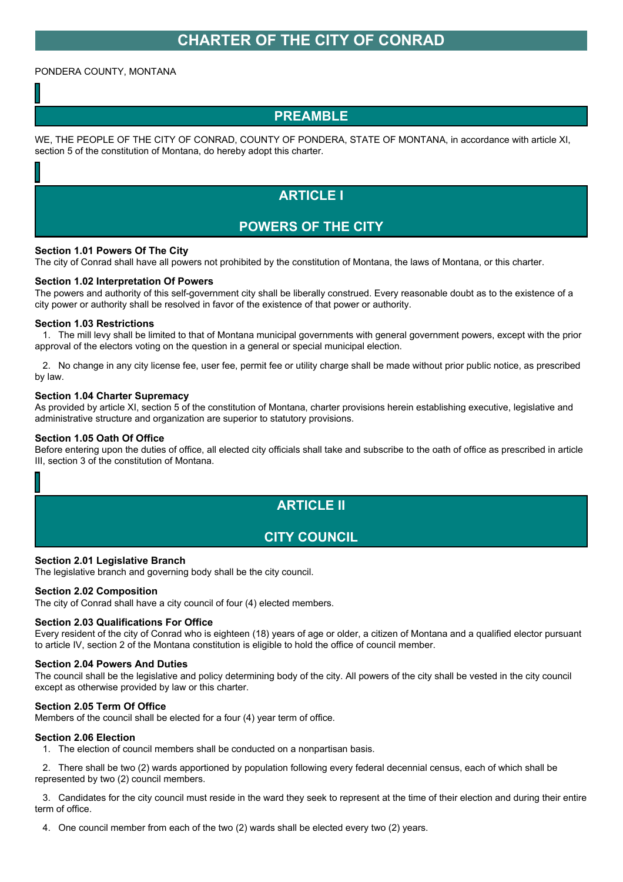# **CHARTER OF THE CITY OF CONRAD**

## PONDERA COUNTY, MONTANA

## **PREAMBLE**

WE, THE PEOPLE OF THE CITY OF CONRAD, COUNTY OF PONDERA, STATE OF MONTANA, in accordance with article XI, section 5 of the constitution of Montana, do hereby adopt this charter.

# **ARTICLE I**

## **POWERS OF THE CITY**

## **Section 1.01 Powers Of The City**

The city of Conrad shall have all powers not prohibited by the constitution of Montana, the laws of Montana, or this charter.

#### **Section 1.02 Interpretation Of Powers**

The powers and authority of this self-government city shall be liberally construed. Every reasonable doubt as to the existence of a city power or authority shall be resolved in favor of the existence of that power or authority.

#### **Section 1.03 Restrictions**

1. The mill levy shall be limited to that of Montana municipal governments with general government powers, except with the prior approval of the electors voting on the question in a general or special municipal election.

2. No change in any city license fee, user fee, permit fee or utility charge shall be made without prior public notice, as prescribed by law.

#### **Section 1.04 Charter Supremacy**

As provided by article XI, section 5 of the constitution of Montana, charter provisions herein establishing executive, legislative and administrative structure and organization are superior to statutory provisions.

#### **Section 1.05 Oath Of Office**

Before entering upon the duties of office, all elected city officials shall take and subscribe to the oath of office as prescribed in article III, section 3 of the constitution of Montana.

# **ARTICLE II**

## **CITY COUNCIL**

#### **Section 2.01 Legislative Branch**

The legislative branch and governing body shall be the city council.

#### **Section 2.02 Composition**

The city of Conrad shall have a city council of four (4) elected members.

#### **Section 2.03 Qualifications For Office**

Every resident of the city of Conrad who is eighteen (18) years of age or older, a citizen of Montana and a qualified elector pursuant to article IV, section 2 of the Montana constitution is eligible to hold the office of council member.

#### **Section 2.04 Powers And Duties**

The council shall be the legislative and policy determining body of the city. All powers of the city shall be vested in the city council except as otherwise provided by law or this charter.

#### **Section 2.05 Term Of Office**

Members of the council shall be elected for a four (4) year term of office.

## **Section 2.06 Election**

1. The election of council members shall be conducted on a nonpartisan basis.

2. There shall be two (2) wards apportioned by population following every federal decennial census, each of which shall be represented by two (2) council members.

3. Candidates for the city council must reside in the ward they seek to represent at the time of their election and during their entire term of office.

4. One council member from each of the two (2) wards shall be elected every two (2) years.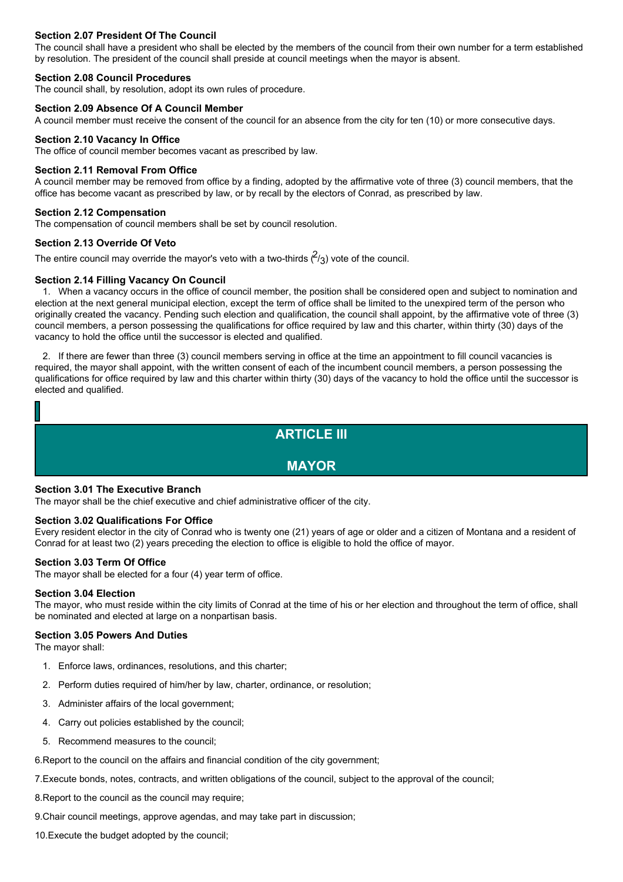## **Section 2.07 President Of The Council**

The council shall have a president who shall be elected by the members of the council from their own number for a term established by resolution. The president of the council shall preside at council meetings when the mayor is absent.

#### **Section 2.08 Council Procedures**

The council shall, by resolution, adopt its own rules of procedure.

#### **Section 2.09 Absence Of A Council Member**

A council member must receive the consent of the council for an absence from the city for ten (10) or more consecutive days.

#### **Section 2.10 Vacancy In Office**

The office of council member becomes vacant as prescribed by law.

#### **Section 2.11 Removal From Office**

A council member may be removed from office by a finding, adopted by the affirmative vote of three (3) council members, that the office has become vacant as prescribed by law, or by recall by the electors of Conrad, as prescribed by law.

#### **Section 2.12 Compensation**

The compensation of council members shall be set by council resolution.

## **Section 2.13 Override Of Veto**

The entire council may override the mayor's veto with a two-thirds  $\binom{2}{3}$  vote of the council.

#### **Section 2.14 Filling Vacancy On Council**

1. When a vacancy occurs in the office of council member, the position shall be considered open and subject to nomination and election at the next general municipal election, except the term of office shall be limited to the unexpired term of the person who originally created the vacancy. Pending such election and qualification, the council shall appoint, by the affirmative vote of three (3) council members, a person possessing the qualifications for office required by law and this charter, within thirty (30) days of the vacancy to hold the office until the successor is elected and qualified.

2. If there are fewer than three (3) council members serving in office at the time an appointment to fill council vacancies is required, the mayor shall appoint, with the written consent of each of the incumbent council members, a person possessing the qualifications for office required by law and this charter within thirty (30) days of the vacancy to hold the office until the successor is elected and qualified.

## **ARTICLE III**

## **MAYOR**

## **Section 3.01 The Executive Branch**

The mayor shall be the chief executive and chief administrative officer of the city.

#### **Section 3.02 Qualifications For Office**

Every resident elector in the city of Conrad who is twenty one (21) years of age or older and a citizen of Montana and a resident of Conrad for at least two (2) years preceding the election to office is eligible to hold the office of mayor.

## **Section 3.03 Term Of Office**

The mayor shall be elected for a four (4) year term of office.

#### **Section 3.04 Election**

The mayor, who must reside within the city limits of Conrad at the time of his or her election and throughout the term of office, shall be nominated and elected at large on a nonpartisan basis.

#### **Section 3.05 Powers And Duties**

The mayor shall:

- 1. Enforce laws, ordinances, resolutions, and this charter;
- 2. Perform duties required of him/her by law, charter, ordinance, or resolution;
- 3. Administer affairs of the local government;
- 4. Carry out policies established by the council;
- 5. Recommend measures to the council;

6.Report to the council on the affairs and financial condition of the city government;

7.Execute bonds, notes, contracts, and written obligations of the council, subject to the approval of the council;

8.Report to the council as the council may require;

9.Chair council meetings, approve agendas, and may take part in discussion;

10.Execute the budget adopted by the council;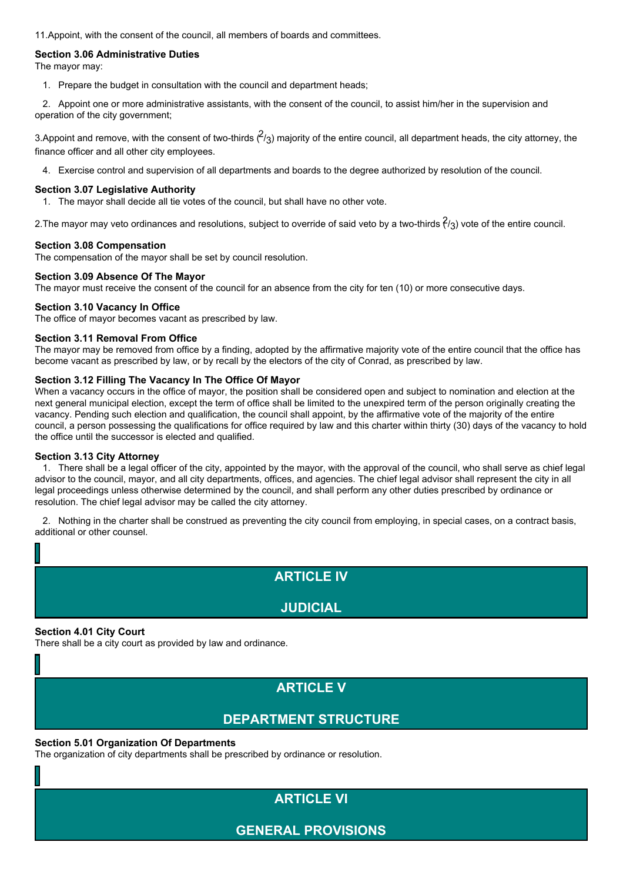11.Appoint, with the consent of the council, all members of boards and committees.

## **Section 3.06 Administrative Duties**

The mayor may:

1. Prepare the budget in consultation with the council and department heads;

2. Appoint one or more administrative assistants, with the consent of the council, to assist him/her in the supervision and operation of the city government;

3. Appoint and remove, with the consent of two-thirds  $(2/3)$  majority of the entire council, all department heads, the city attorney, the finance officer and all other city employees.

4. Exercise control and supervision of all departments and boards to the degree authorized by resolution of the council.

## **Section 3.07 Legislative Authority**

1. The mayor shall decide all tie votes of the council, but shall have no other vote.

2. The mayor may veto ordinances and resolutions, subject to override of said veto by a two-thirds  $\hat{f}_3$ ) vote of the entire council.

## **Section 3.08 Compensation**

The compensation of the mayor shall be set by council resolution.

## **Section 3.09 Absence Of The Mayor**

The mayor must receive the consent of the council for an absence from the city for ten (10) or more consecutive days.

## **Section 3.10 Vacancy In Office**

The office of mayor becomes vacant as prescribed by law.

## **Section 3.11 Removal From Office**

The mayor may be removed from office by a finding, adopted by the affirmative majority vote of the entire council that the office has become vacant as prescribed by law, or by recall by the electors of the city of Conrad, as prescribed by law.

## **Section 3.12 Filling The Vacancy In The Office Of Mayor**

When a vacancy occurs in the office of mayor, the position shall be considered open and subject to nomination and election at the next general municipal election, except the term of office shall be limited to the unexpired term of the person originally creating the vacancy. Pending such election and qualification, the council shall appoint, by the affirmative vote of the majority of the entire council, a person possessing the qualifications for office required by law and this charter within thirty (30) days of the vacancy to hold the office until the successor is elected and qualified.

## **Section 3.13 City Attorney**

1. There shall be a legal officer of the city, appointed by the mayor, with the approval of the council, who shall serve as chief legal advisor to the council, mayor, and all city departments, offices, and agencies. The chief legal advisor shall represent the city in all legal proceedings unless otherwise determined by the council, and shall perform any other duties prescribed by ordinance or resolution. The chief legal advisor may be called the city attorney.

2. Nothing in the charter shall be construed as preventing the city council from employing, in special cases, on a contract basis, additional or other counsel.

## **ARTICLE IV**

## **JUDICIAL**

## **Section 4.01 City Court**

There shall be a city court as provided by law and ordinance.

# **ARTICLE V**

# **DEPARTMENT STRUCTURE**

## **Section 5.01 Organization Of Departments**

The organization of city departments shall be prescribed by ordinance or resolution.

# **ARTICLE VI**

**GENERAL PROVISIONS**